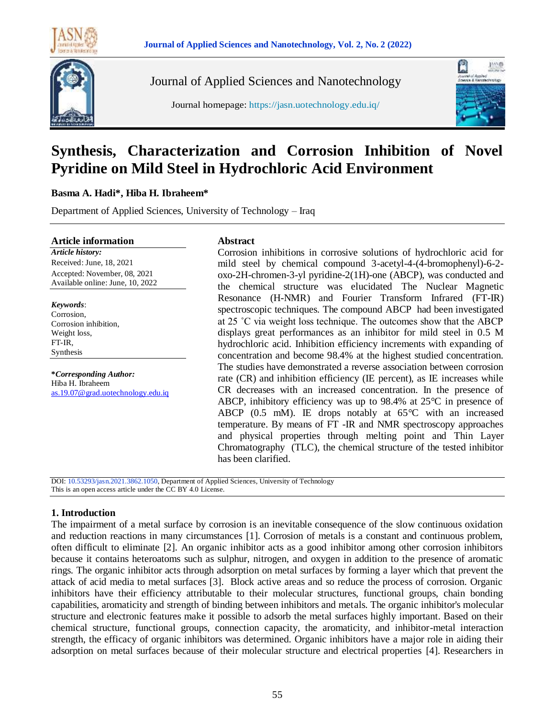

Journal of Applied Sciences and Nanotechnology

Journal homepage: https://jasn.uotechnology.edu.iq/



# **Synthesis, Characterization and Corrosion Inhibition of Novel Pyridine on Mild Steel in Hydrochloric Acid Environment**

# **Basma A. Hadi\*, Hiba H. Ibraheem\***

Department of Applied Sciences, University of Technology – Iraq

#### **Article information**

*Article history:* Received: June, 18, 2021 Accepted: November, 08, 2021 Available online: June, 10, 2022

*Keywords*: Corrosion, Corrosion inhibition, Weight loss, FT-IR, Synthesis

**\****Corresponding Author:* Hiba H. Ibraheem [as.19.07@grad.uotechnology.edu.iq](mailto:email@domain.com)

# **Abstract**

Corrosion inhibitions in corrosive solutions of hydrochloric acid for mild steel by chemical compound 3-acetyl-4-(4-bromophenyl)-6-2 oxo-2H-chromen-3-yl pyridine-2(1H)-one (ABCP), was conducted and the chemical structure was elucidated The Nuclear Magnetic Resonance (H-NMR) and Fourier Transform Infrared (FT-IR) spectroscopic techniques. The compound ABCP had been investigated at 25 ˚C via weight loss technique. The outcomes show that the ABCP displays great performances as an inhibitor for mild steel in 0.5 M hydrochloric acid. Inhibition efficiency increments with expanding of concentration and become 98.4% at the highest studied concentration. The studies have demonstrated a reverse association between corrosion rate (CR) and inhibition efficiency (IE percent), as IE increases while CR decreases with an increased concentration. In the presence of ABCP, inhibitory efficiency was up to 98.4% at 25°C in presence of ABCP  $(0.5 \text{ mM})$ . IE drops notably at  $65^{\circ}$ C with an increased temperature. By means of FT -IR and NMR spectroscopy approaches and physical properties through melting point and Thin Layer Chromatography (TLC), the chemical structure of the tested inhibitor has been clarified.

DOI: 10.53293/jasn.2021.3862.1050, Department of Applied Sciences, University of Technology This is an open access article under the CC BY 4.0 License.

# **1. Introduction**

The impairment of a metal surface by corrosion is an inevitable consequence of the slow continuous oxidation and reduction reactions in many circumstances [1]. Corrosion of metals is a constant and continuous problem, often difficult to eliminate [2]. An organic inhibitor acts as a good inhibitor among other corrosion inhibitors because it contains heteroatoms such as sulphur, nitrogen, and oxygen in addition to the presence of aromatic rings. The organic inhibitor acts through adsorption on metal surfaces by forming a layer which that prevent the attack of acid media to metal surfaces [3]. Block active areas and so reduce the process of corrosion. Organic inhibitors have their efficiency attributable to their molecular structures, functional groups, chain bonding capabilities, aromaticity and strength of binding between inhibitors and metals. The organic inhibitor's molecular structure and electronic features make it possible to adsorb the metal surfaces highly important. Based on their chemical structure, functional groups, connection capacity, the aromaticity, and inhibitor-metal interaction strength, the efficacy of organic inhibitors was determined. Organic inhibitors have a major role in aiding their adsorption on metal surfaces because of their molecular structure and electrical properties [4]. Researchers in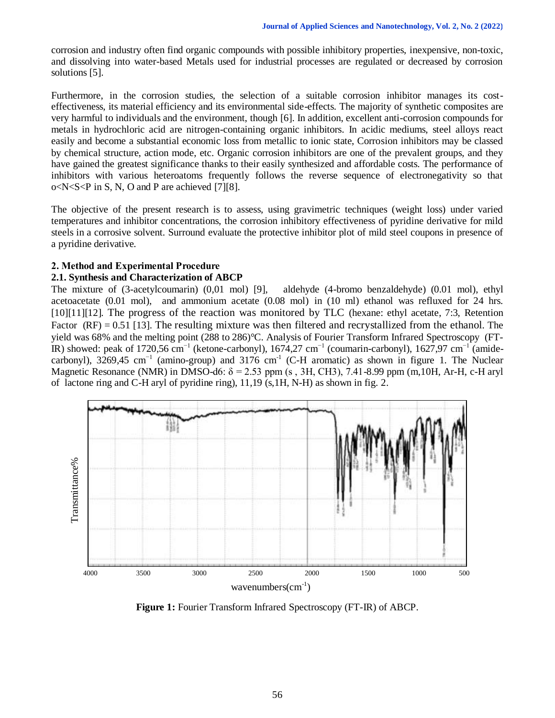corrosion and industry often find organic compounds with possible inhibitory properties, inexpensive, non-toxic, and dissolving into water-based Metals used for industrial processes are regulated or decreased by corrosion solutions [5].

Furthermore, in the corrosion studies, the selection of a suitable corrosion inhibitor manages its costeffectiveness, its material efficiency and its environmental side-effects. The majority of synthetic composites are very harmful to individuals and the environment, though [6]. In addition, excellent anti-corrosion compounds for metals in hydrochloric acid are nitrogen-containing organic inhibitors. In acidic mediums, steel alloys react easily and become a substantial economic loss from metallic to ionic state, Corrosion inhibitors may be classed by chemical structure, action mode, etc. Organic corrosion inhibitors are one of the prevalent groups, and they have gained the greatest significance thanks to their easily synthesized and affordable costs. The performance of inhibitors with various heteroatoms frequently follows the reverse sequence of electronegativity so that o<N<S<P in S, N, O and P are achieved [7][8].

The objective of the present research is to assess, using gravimetric techniques (weight loss) under varied temperatures and inhibitor concentrations, the corrosion inhibitory effectiveness of pyridine derivative for mild steels in a corrosive solvent. Surround evaluate the protective inhibitor plot of mild steel coupons in presence of a pyridine derivative.

#### **2. Method and Experimental Procedure**

#### **2.1. Synthesis and Characterization of ABCP**

The mixture of (3-acetylcoumarin) (0,01 mol) [9], aldehyde (4-bromo benzaldehyde) (0.01 mol), ethyl acetoacetate (0.01 mol), and ammonium acetate (0.08 mol) in (10 ml) ethanol was refluxed for 24 hrs. [10][11][12]. The progress of the reaction was monitored by TLC (hexane: ethyl acetate, 7:3, Retention Factor  $(RF) = 0.51$  [13]. The resulting mixture was then filtered and recrystallized from the ethanol. The yield was 68% and the melting point (288 to 286)°C. Analysis of Fourier Transform Infrared Spectroscopy (FT-IR) showed: peak of 1720,56 cm−1 (ketone-carbonyl), 1674,27 cm−1 (coumarin-carbonyl), 1627,97 cm−1 (amidecarbonyl), 3269,45 cm<sup>-1</sup> (amino-group) and 3176 cm<sup>-1</sup> (C-H aromatic) as shown in figure 1. The Nuclear Magnetic Resonance (NMR) in DMSO-d6:  $\delta$  = 2.53 ppm (s, 3H, CH3), 7.41-8.99 ppm (m, 10H, Ar-H, c-H aryl of lactone ring and C-H aryl of pyridine ring), 11,19 (s,1H, N-H) as shown in fig. 2.



**Figure 1:** Fourier Transform Infrared Spectroscopy (FT-IR) of ABCP.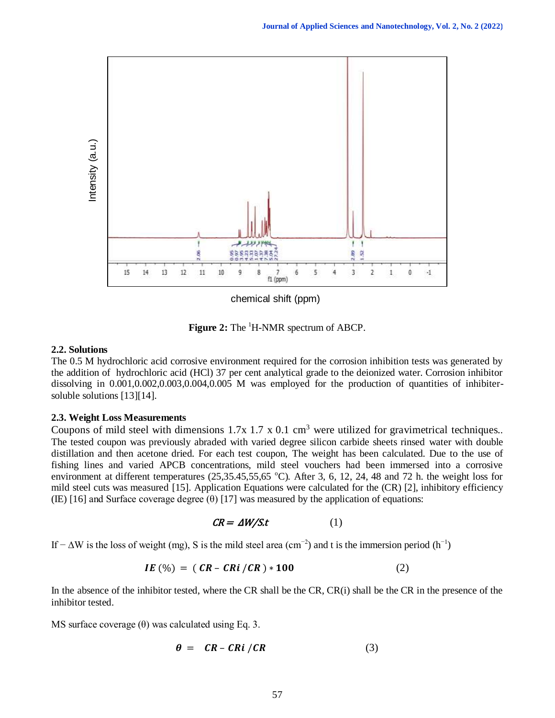

chemical shift (ppm)

**Figure 2:** The <sup>1</sup>H-NMR spectrum of ABCP.

#### **2.2. Solutions**

The 0.5 M hydrochloric acid corrosive environment required for the corrosion inhibition tests was generated by the addition of hydrochloric acid (HCl) 37 per cent analytical grade to the deionized water. Corrosion inhibitor dissolving in 0.001,0.002,0.003,0.004,0.005 M was employed for the production of quantities of inhibitersoluble solutions [13][14].

#### **2.3. Weight Loss Measurements**

Coupons of mild steel with dimensions  $1.7x\ 1.7x\ 0.1cm<sup>3</sup>$  were utilized for gravimetrical techniques.. The tested coupon was previously abraded with varied degree silicon carbide sheets rinsed water with double distillation and then acetone dried. For each test coupon, The weight has been calculated. Due to the use of fishing lines and varied APCB concentrations, mild steel vouchers had been immersed into a corrosive environment at different temperatures ( $25,35.45,55,65$  °C). After 3, 6, 12, 24, 48 and 72 h. the weight loss for mild steel cuts was measured [15]. Application Equations were calculated for the (CR) [2], inhibitory efficiency (IE) [16] and Surface coverage degree  $(\theta)$  [17] was measured by the application of equations:

$$
CR = \Delta W / St \tag{1}
$$

If −  $\Delta W$  is the loss of weight (mg), S is the mild steel area (cm<sup>-2</sup>) and t is the immersion period (h<sup>-1</sup>)

$$
IE\, (\%) = (CR - CRi / CR) * 100 \tag{2}
$$

In the absence of the inhibitor tested, where the CR shall be the CR, CR(i) shall be the CR in the presence of the inhibitor tested.

MS surface coverage  $(\theta)$  was calculated using Eq. 3.

$$
\theta = CR - CRi / CR \tag{3}
$$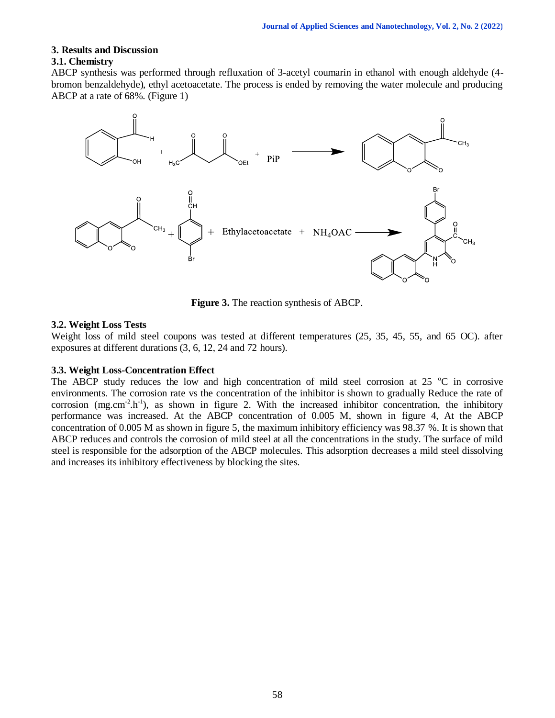# **3. Results and Discussion**

# **3.1. Chemistry**

ABCP synthesis was performed through refluxation of 3-acetyl coumarin in ethanol with enough aldehyde (4 bromon benzaldehyde), ethyl acetoacetate. The process is ended by removing the water molecule and producing ABCP at a rate of 68%. (Figure 1)



**Figure 3.** The reaction synthesis of ABCP.

# **3.2. Weight Loss Tests**

Weight loss of mild steel coupons was tested at different temperatures (25, 35, 45, 55, and 65 OC). after exposures at different durations (3, 6, 12, 24 and 72 hours).

# **3.3. Weight Loss-Concentration Effect**

The ABCP study reduces the low and high concentration of mild steel corrosion at  $25\degree\text{C}$  in corrosive environments. The corrosion rate vs the concentration of the inhibitor is shown to gradually Reduce the rate of corrosion (mg.cm<sup>-2</sup>.h<sup>-1</sup>), as shown in figure 2. With the increased inhibitor concentration, the inhibitory performance was increased. At the ABCP concentration of 0.005 M, shown in figure 4, At the ABCP concentration of 0.005 M as shown in figure 5, the maximum inhibitory efficiency was 98.37 %. It is shown that ABCP reduces and controls the corrosion of mild steel at all the concentrations in the study. The surface of mild steel is responsible for the adsorption of the ABCP molecules. This adsorption decreases a mild steel dissolving and increases its inhibitory effectiveness by blocking the sites.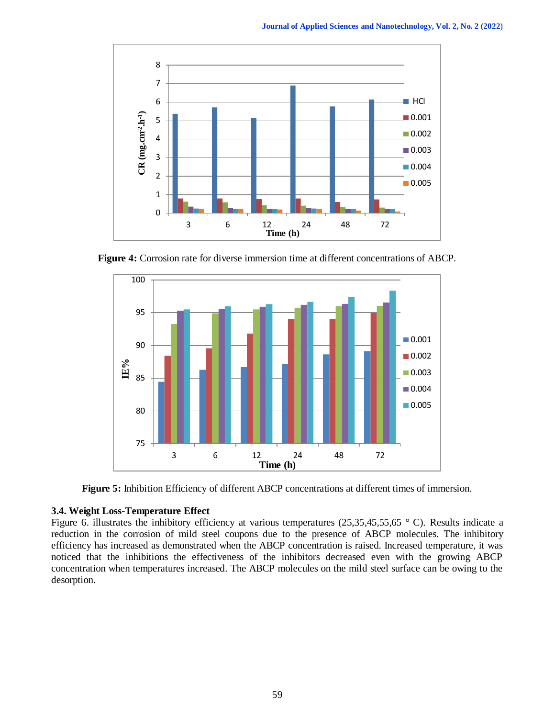

**Figure 4:** Corrosion rate for diverse immersion time at different concentrations of ABCP.



**Figure 5:** Inhibition Efficiency of different ABCP concentrations at different times of immersion.

#### **3.4. Weight Loss-Temperature Effect**

Figure 6. illustrates the inhibitory efficiency at various temperatures (25,35,45,55,65  $\degree$  C). Results indicate a reduction in the corrosion of mild steel coupons due to the presence of ABCP molecules. The inhibitory efficiency has increased as demonstrated when the ABCP concentration is raised. Increased temperature, it was noticed that the inhibitions the effectiveness of the inhibitors decreased even with the growing ABCP concentration when temperatures increased. The ABCP molecules on the mild steel surface can be owing to the desorption.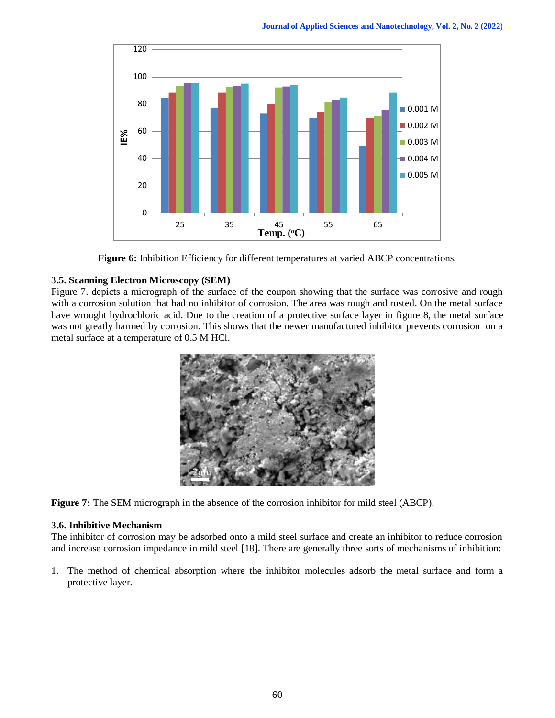

**Figure 6:** Inhibition Efficiency for different temperatures at varied ABCP concentrations.

# **3.5. Scanning Electron Microscopy (SEM)**

Figure 7. depicts a micrograph of the surface of the coupon showing that the surface was corrosive and rough with a corrosion solution that had no inhibitor of corrosion. The area was rough and rusted. On the metal surface have wrought hydrochloric acid. Due to the creation of a protective surface layer in figure 8, the metal surface was not greatly harmed by corrosion. This shows that the newer manufactured inhibitor prevents corrosion on a metal surface at a temperature of 0.5 M HCl.



**Figure 7:** The SEM micrograph in the absence of the corrosion inhibitor for mild steel (ABCP).

# **3.6. Inhibitive Mechanism**

The inhibitor of corrosion may be adsorbed onto a mild steel surface and create an inhibitor to reduce corrosion and increase corrosion impedance in mild steel [18]. There are generally three sorts of mechanisms of inhibition:

1. The method of chemical absorption where the inhibitor molecules adsorb the metal surface and form a protective layer.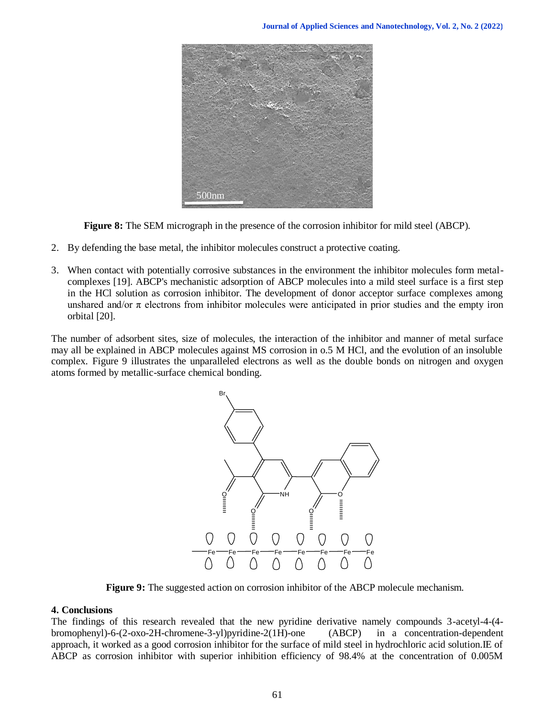

**Figure 8:** The SEM micrograph in the presence of the corrosion inhibitor for mild steel (ABCP).

- 2. By defending the base metal, the inhibitor molecules construct a protective coating.
- 3. When contact with potentially corrosive substances in the environment the inhibitor molecules form metalcomplexes [19]. ABCP's mechanistic adsorption of ABCP molecules into a mild steel surface is a first step in the HCl solution as corrosion inhibitor. The development of donor acceptor surface complexes among unshared and/or  $\pi$  electrons from inhibitor molecules were anticipated in prior studies and the empty iron orbital [20].

The number of adsorbent sites, size of molecules, the interaction of the inhibitor and manner of metal surface may all be explained in ABCP molecules against MS corrosion in o.5 M HCl, and the evolution of an insoluble complex. Figure 9 illustrates the unparalleled electrons as well as the double bonds on nitrogen and oxygen atoms formed by metallic-surface chemical bonding.



**Figure 9:** The suggested action on corrosion inhibitor of the ABCP molecule mechanism.

# **4. Conclusions**

The findings of this research revealed that the new pyridine derivative namely compounds 3-acetyl-4-(4 bromophenyl)-6-(2-oxo-2H-chromene-3-yl)pyridine-2(1H)-one (ABCP) in a concentration-dependent approach, it worked as a good corrosion inhibitor for the surface of mild steel in hydrochloric acid solution.IE of ABCP as corrosion inhibitor with superior inhibition efficiency of 98.4% at the concentration of 0.005M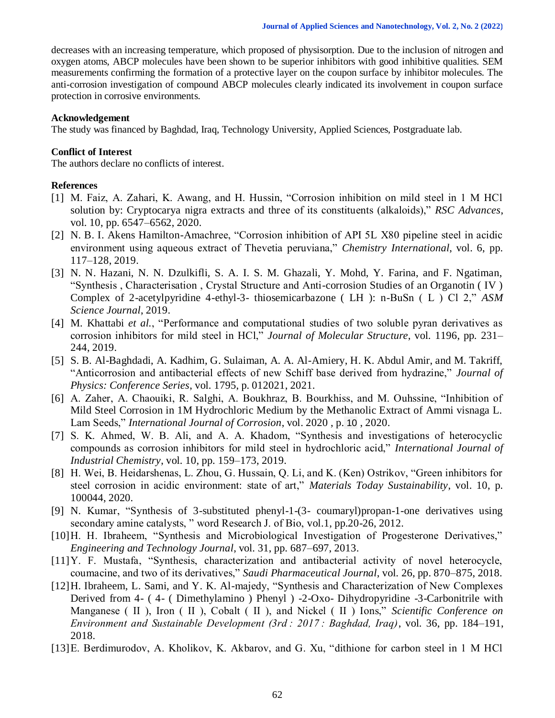decreases with an increasing temperature, which proposed of physisorption. Due to the inclusion of nitrogen and oxygen atoms, ABCP molecules have been shown to be superior inhibitors with good inhibitive qualities. SEM measurements confirming the formation of a protective layer on the coupon surface by inhibitor molecules. The anti-corrosion investigation of compound ABCP molecules clearly indicated its involvement in coupon surface protection in corrosive environments.

#### **Acknowledgement**

The study was financed by Baghdad, Iraq, Technology University, Applied Sciences, Postgraduate lab.

#### **Conflict of Interest**

The authors declare no conflicts of interest.

#### **References**

- [1] M. Faiz, A. Zahari, K. Awang, and H. Hussin, "Corrosion inhibition on mild steel in 1 M HCl solution by: Cryptocarya nigra extracts and three of its constituents (alkaloids)," *RSC Advances*, vol. 10, pp. 6547–6562, 2020.
- [2] N. B. I. Akens Hamilton-Amachree, "Corrosion inhibition of API 5L X80 pipeline steel in acidic environment using aqueous extract of Thevetia peruviana," *Chemistry International*, vol. 6, pp. 117–128, 2019.
- [3] N. N. Hazani, N. N. Dzulkifli, S. A. I. S. M. Ghazali, Y. Mohd, Y. Farina, and F. Ngatiman, "Synthesis , Characterisation , Crystal Structure and Anti-corrosion Studies of an Organotin ( IV ) Complex of 2-acetylpyridine 4-ethyl-3- thiosemicarbazone ( LH ): n-BuSn ( L ) Cl 2," *ASM Science Journal*, 2019.
- [4] M. Khattabi *et al.*, "Performance and computational studies of two soluble pyran derivatives as corrosion inhibitors for mild steel in HCl," *Journal of Molecular Structure*, vol. 1196, pp. 231– 244, 2019.
- [5] S. B. Al-Baghdadi, A. Kadhim, G. Sulaiman, A. A. Al-Amiery, H. K. Abdul Amir, and M. Takriff, "Anticorrosion and antibacterial effects of new Schiff base derived from hydrazine," *Journal of Physics: Conference Series*, vol. 1795, p. 012021, 2021.
- [6] A. Zaher, A. Chaouiki, R. Salghi, A. Boukhraz, B. Bourkhiss, and M. Ouhssine, "Inhibition of Mild Steel Corrosion in 1M Hydrochloric Medium by the Methanolic Extract of Ammi visnaga L. Lam Seeds," *International Journal of Corrosion*, vol. 2020 , p. 10 , 2020.
- [7] S. K. Ahmed, W. B. Ali, and A. A. Khadom, "Synthesis and investigations of heterocyclic compounds as corrosion inhibitors for mild steel in hydrochloric acid," *International Journal of Industrial Chemistry*, vol. 10, pp. 159–173, 2019.
- [8] H. Wei, B. Heidarshenas, L. Zhou, G. Hussain, Q. Li, and K. (Ken) Ostrikov, "Green inhibitors for steel corrosion in acidic environment: state of art," *Materials Today Sustainability*, vol. 10, p. 100044, 2020.
- [9] N. Kumar, "Synthesis of 3-substituted phenyl-1-(3- coumaryl)propan-1-one derivatives using secondary amine catalysts, " word Research J. of Bio, vol.1, pp.20-26, 2012.
- [10]H. H. Ibraheem, "Synthesis and Microbiological Investigation of Progesterone Derivatives," *Engineering and Technology Journal*, vol. 31, pp. 687–697, 2013.
- [11]Y. F. Mustafa, "Synthesis, characterization and antibacterial activity of novel heterocycle, coumacine, and two of its derivatives," *Saudi Pharmaceutical Journal*, vol. 26, pp. 870–875, 2018.
- [12]H. Ibraheem, L. Sami, and Y. K. Al-majedy, "Synthesis and Characterization of New Complexes Derived from 4- ( 4- ( Dimethylamino ) Phenyl ) -2-Oxo- Dihydropyridine -3-Carbonitrile with Manganese ( II ), Iron ( II ), Cobalt ( II ), and Nickel ( II ) Ions," *Scientific Conference on Environment and Sustainable Development (3rd : 2017 : Baghdad, Iraq)*, vol. 36, pp. 184–191, 2018.
- [13]E. Berdimurodov, A. Kholikov, K. Akbarov, and G. Xu, "dithione for carbon steel in 1 M HCl